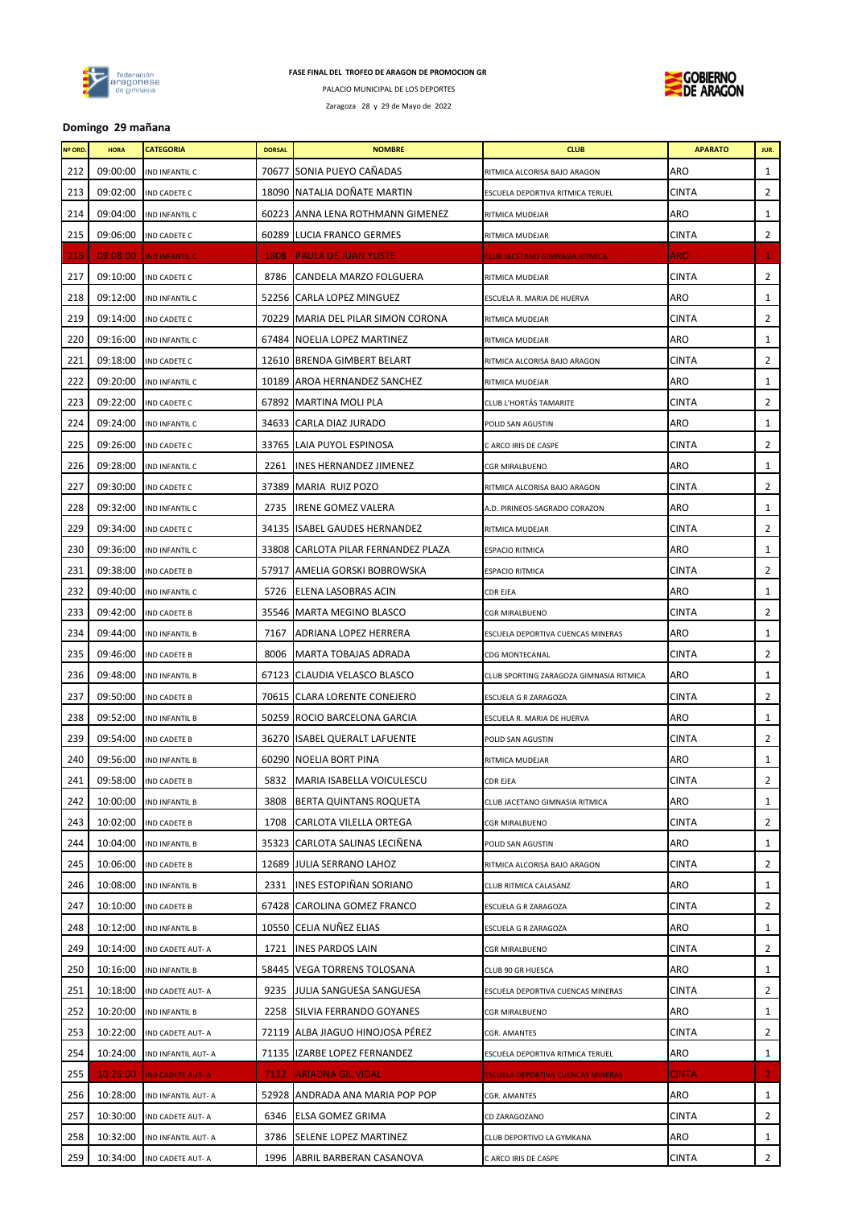

PALACIO MUNICIPAL DE LOS DEPORTES

Zaragoza 28 y 29 de Mayo de 2022



# **Domingo 29 mañana**

| <b>Nº ORD.</b> | <b>HORA</b> | <b>CATEGORIA</b>        | <b>DORSAL</b> | <b>NOMBRE</b>                        | <b>CLUB</b>                              | <b>APARATO</b> | JUR.           |
|----------------|-------------|-------------------------|---------------|--------------------------------------|------------------------------------------|----------------|----------------|
| 212            | 09:00:00    | IND INFANTIL C          |               | 70677 SONIA PUEYO CAÑADAS            | RITMICA ALCORISA BAJO ARAGON             | ARO            | $\mathbf{1}$   |
| 213            | 09:02:00    | IND CADETE C            |               | 18090 NATALIA DOÑATE MARTIN          | ESCUELA DEPORTIVA RITMICA TERUEL         | <b>CINTA</b>   | 2              |
| 214            | 09:04:00    | IND INFANTIL C          |               | 60223 ANNA LENA ROTHMANN GIMENEZ     | RITMICA MUDEJAR                          | ARO            | $\mathbf{1}$   |
| 215            | 09:06:00    | IND CADETE C            |               | 60289 LUCIA FRANCO GERMES            | RITMICA MUDEJAR                          | <b>CINTA</b>   | $\overline{2}$ |
| 216            | 09:08:00    | <b>IND INFANTIL C</b>   | 1808          | <b>PAULA DE JUAN YUSTE</b>           | <b>CLUB JACETANO GIMNASIA RITMICA</b>    | <b>ARO</b>     | 1              |
| 217            | 09:10:00    | IND CADETE C            | 8786          | CANDELA MARZO FOLGUERA               | RITMICA MUDEJAR                          | <b>CINTA</b>   | 2              |
| 218            | 09:12:00    | IND INFANTIL C          |               | 52256 CARLA LOPEZ MINGUEZ            | ESCUELA R. MARIA DE HUERVA               | ARO            | 1              |
| 219            | 09:14:00    | IND CADETE C            |               | 70229   MARIA DEL PILAR SIMON CORONA | RITMICA MUDEJAR                          | CINTA          | 2              |
| 220            | 09:16:00    | IND INFANTIL C          |               | 67484 NOELIA LOPEZ MARTINEZ          | RITMICA MUDEJAR                          | ARO            | $\mathbf{1}$   |
| 221            | 09:18:00    | IND CADETE C            |               | 12610 BRENDA GIMBERT BELART          | RITMICA ALCORISA BAJO ARAGON             | <b>CINTA</b>   | 2              |
| 222            | 09:20:00    | IND INFANTIL C          | 10189         | AROA HERNANDEZ SANCHEZ               | RITMICA MUDEJAR                          | ARO            | $\mathbf{1}$   |
| 223            | 09:22:00    | IND CADETE C            |               | 67892 MARTINA MOLI PLA               | CLUB L'HORTÁS TAMARITE                   | CINTA          | 2              |
| 224            | 09:24:00    | IND INFANTIL C          |               | 34633 CARLA DIAZ JURADO              | POLID SAN AGUSTIN                        | ARO            | 1              |
| 225            | 09:26:00    | IND CADETE C            |               | 33765 LAIA PUYOL ESPINOSA            | C ARCO IRIS DE CASPE                     | <b>CINTA</b>   | 2              |
| 226            | 09:28:00    | IND INFANTIL C          | 2261          | INES HERNANDEZ JIMENEZ               | CGR MIRALBUENO                           | ARO            | 1              |
| 227            | 09:30:00    | IND CADETE C            | 37389         | <b>MARIA RUIZ POZO</b>               | RITMICA ALCORISA BAJO ARAGON             | CINTA          | 2              |
| 228            | 09:32:00    | IND INFANTIL C          | 2735          | IRENE GOMEZ VALERA                   | A.D. PIRINEOS-SAGRADO CORAZON            | ARO            | $\mathbf{1}$   |
| 229            | 09:34:00    | IND CADETE C            | 34135         | <b>ISABEL GAUDES HERNANDEZ</b>       | RITMICA MUDEJAR                          | <b>CINTA</b>   | $\overline{2}$ |
| 230            | 09:36:00    | IND INFANTIL C          |               | 33808 CARLOTA PILAR FERNANDEZ PLAZA  | <b>ESPACIO RITMICA</b>                   | ARO            | $\mathbf{1}$   |
| 231            | 09:38:00    | <b>IND CADETE B</b>     | 57917         | AMELIA GORSKI BOBROWSKA              | ESPACIO RITMICA                          | <b>CINTA</b>   | 2              |
| 232            | 09:40:00    | IND INFANTIL C          | 5726          | ELENA LASOBRAS ACIN                  | <b>CDR EJEA</b>                          | ARO            | $\mathbf{1}$   |
| 233            | 09:42:00    | <b>IND CADETE B</b>     |               | 35546 MARTA MEGINO BLASCO            | CGR MIRALBUENO                           | <b>CINTA</b>   | 2              |
| 234            | 09:44:00    | IND INFANTIL B          | 7167          | ADRIANA LOPEZ HERRERA                | ESCUELA DEPORTIVA CUENCAS MINERAS        | ARO            | 1              |
| 235            | 09:46:00    | IND CADETE B            | 8006          | MARTA TOBAJAS ADRADA                 | CDG MONTECANAL                           | <b>CINTA</b>   | 2              |
| 236            | 09:48:00    | IND INFANTIL B          |               | 67123 CLAUDIA VELASCO BLASCO         | CLUB SPORTING ZARAGOZA GIMNASIA RITMICA  | ARO            | $\mathbf{1}$   |
| 237            | 09:50:00    | <b>IND CADETE B</b>     |               | 70615 CLARA LORENTE CONEJERO         | ESCUELA G R ZARAGOZA                     | <b>CINTA</b>   | $\overline{2}$ |
| 238            | 09:52:00    | IND INFANTIL B          |               | 50259 ROCIO BARCELONA GARCIA         | ESCUELA R. MARIA DE HUERVA               | ARO            | $\mathbf{1}$   |
| 239            | 09:54:00    | IND CADETE B            | 36270         | <b>ISABEL QUERALT LAFUENTE</b>       | POLID SAN AGUSTIN                        | <b>CINTA</b>   | $\overline{2}$ |
| 240            | 09:56:00    | <b>IND INFANTIL B</b>   |               | 60290 NOELIA BORT PINA               | RITMICA MUDEJAR                          | ARO            | $\mathbf{1}$   |
| 241            |             | 09:58:00 IND CADETE B   |               | 5832 MARIA ISABELLA VOICULESCU       | <b>CDR EJEA</b>                          | <b>CINTA</b>   | $\overline{2}$ |
| 242            | 10:00:00    | IND INFANTIL B          | 3808          | BERTA QUINTANS ROQUETA               | CLUB JACETANO GIMNASIA RITMICA           | ARO            | 1              |
| 243            | 10:02:00    | <b>IND CADETE B</b>     |               | 1708 CARLOTA VILELLA ORTEGA          | CGR MIRALBUENO                           | <b>CINTA</b>   | $\mathbf{2}$   |
| 244            | 10:04:00    | IND INFANTIL B          |               | 35323 CARLOTA SALINAS LECIÑENA       | POLID SAN AGUSTIN                        | ARO            | 1              |
| 245            | 10:06:00    | <b>IND CADETE B</b>     |               | 12689 JULIA SERRANO LAHOZ            | RITMICA ALCORISA BAJO ARAGON             | <b>CINTA</b>   | $\mathbf{2}$   |
| 246            | 10:08:00    | IND INFANTIL B          |               | 2331 INES ESTOPIÑAN SORIANO          | CLUB RITMICA CALASANZ                    | ARO            | 1              |
| 247            | 10:10:00    | <b>IND CADETE B</b>     |               | 67428 CAROLINA GOMEZ FRANCO          | ESCUELA G R ZARAGOZA                     | <b>CINTA</b>   | $\mathbf{2}$   |
| 248            | 10:12:00    | <b>IND INFANTIL B</b>   |               | 10550 CELIA NUÑEZ ELIAS              | ESCUELA G R ZARAGOZA                     | ARO            | $\mathbf{1}$   |
| 249            | 10:14:00    | IND CADETE AUT-A        | 1721          | <b>INES PARDOS LAIN</b>              | CGR MIRALBUENO                           | CINTA          | $\mathbf{2}$   |
| 250            | 10:16:00    | IND INFANTIL B          |               | 58445 VEGA TORRENS TOLOSANA          | CLUB 90 GR HUESCA                        | ARO            | 1              |
| 251            | 10:18:00    | IND CADETE AUT-A        | 9235          | JULIA SANGUESA SANGUESA              | ESCUELA DEPORTIVA CUENCAS MINERAS        | CINTA          | $\mathbf{2}$   |
| 252            | 10:20:00    | IND INFANTIL B          |               | 2258 SILVIA FERRANDO GOYANES         | CGR MIRALBUENO                           | ARO            | 1              |
| 253            | 10:22:00    | IND CADETE AUT-A        |               | 72119 ALBA JIAGUO HINOJOSA PEREZ     | CGR. AMANTES                             | <b>CINTA</b>   | $\mathbf{2}$   |
| 254            | 10:24:00    | IND INFANTIL AUT- A     |               | 71135 IZARBE LOPEZ FERNANDEZ         | ESCUELA DEPORTIVA RITMICA TERUEL         | ARO            | $\mathbf{1}$   |
| 255            | 10:26:00    | <b>IND CADETE AUT-A</b> | 7132.         | ARIADNA GIL VIDAL                    | <b>ESCUELA DEPORTIVA CUENCAS MINERAS</b> | <b>CINTA</b>   | $\mathbf{2}$   |
| 256            | 10:28:00    | IND INFANTIL AUT- A     |               | 52928 ANDRADA ANA MARIA POP POP      | CGR. AMANTES                             | ARO            | 1              |
| 257            | 10:30:00    | IND CADETE AUT-A        | 6346          | <b>ELSA GOMEZ GRIMA</b>              | CD ZARAGOZANO                            | <b>CINTA</b>   | $\mathbf{2}$   |
| 258            | 10:32:00    | IND INFANTIL AUT- A     | 3786          | SELENE LOPEZ MARTINEZ                | CLUB DEPORTIVO LA GYMKANA                | ARO            | $\mathbf{1}$   |
| 259            | 10:34:00    | IND CADETE AUT-A        |               | 1996 ABRIL BARBERAN CASANOVA         | C ARCO IRIS DE CASPE                     | <b>CINTA</b>   | $\mathbf{2}$   |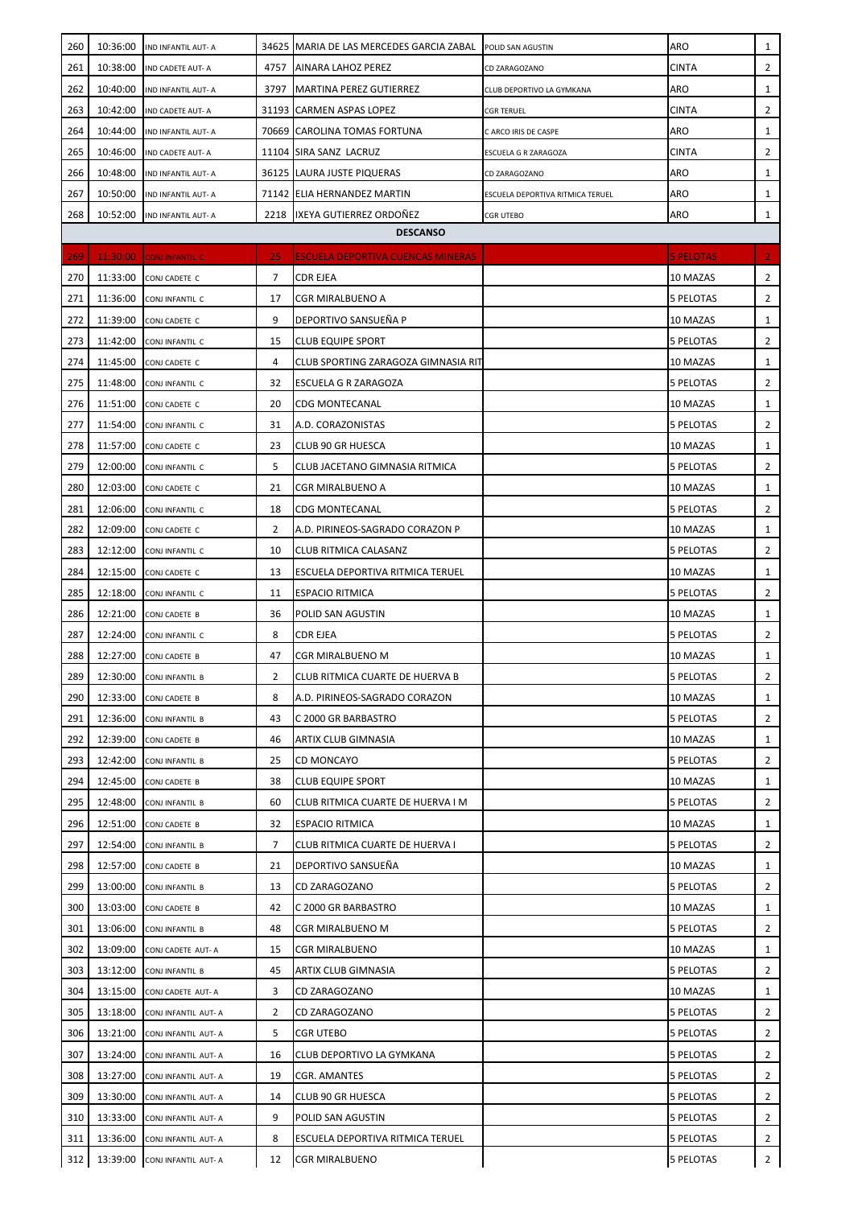| 260 | 10:36:00 | IND INFANTIL AUT- A       |                | 34625 MARIA DE LAS MERCEDES GARCIA ZABAL | POLID SAN AGUSTIN                | ARO              | 1              |
|-----|----------|---------------------------|----------------|------------------------------------------|----------------------------------|------------------|----------------|
| 261 | 10:38:00 | IND CADETE AUT-A          | 4757           | AINARA LAHOZ PEREZ                       | CD ZARAGOZANO                    | <b>CINTA</b>     | $\overline{2}$ |
| 262 | 10:40:00 | IND INFANTIL AUT- A       | 3797           | <b>MARTINA PEREZ GUTIERREZ</b>           | CLUB DEPORTIVO LA GYMKANA        | <b>ARO</b>       | 1              |
| 263 | 10:42:00 | IND CADETE AUT-A          |                | 31193 CARMEN ASPAS LOPEZ                 | <b>CGR TERUEL</b>                | CINTA            | $\overline{2}$ |
| 264 | 10:44:00 | IND INFANTIL AUT- A       |                | 70669 CAROLINA TOMAS FORTUNA             | C ARCO IRIS DE CASPE             | ARO              | 1              |
| 265 | 10:46:00 | IND CADETE AUT-A          |                | 11104 SIRA SANZ LACRUZ                   | ESCUELA G R ZARAGOZA             | CINTA            | $\overline{2}$ |
| 266 | 10:48:00 | IND INFANTIL AUT- A       |                | 36125 LAURA JUSTE PIQUERAS               | CD ZARAGOZANO                    | ARO              | 1              |
| 267 | 10:50:00 | <b>ND INFANTIL AUT- A</b> |                | 71142 ELIA HERNANDEZ MARTIN              | ESCUELA DEPORTIVA RITMICA TERUEL | ARO              | 1              |
| 268 | 10:52:00 | IND INFANTIL AUT- A       |                | 2218 IXEYA GUTIERREZ ORDOÑEZ             | <b>CGR UTEBO</b>                 | ARO              | $\mathbf{1}$   |
|     |          |                           |                | <b>DESCANSO</b>                          |                                  |                  |                |
| 269 | 11:30:00 | <b>CONJINFANTIL C</b>     | 25             | ESCUELA DEPORTIVA CUENCAS MINERAS        |                                  | <b>5 PELOTAS</b> | 2 <sub>1</sub> |
| 270 | 11:33:00 | CONJ CADETE C             | $\overline{7}$ | <b>CDR EJEA</b>                          |                                  | 10 MAZAS         | $\overline{2}$ |
| 271 | 11:36:00 | CONJINFANTIL C            | 17             | CGR MIRALBUENO A                         |                                  | 5 PELOTAS        | $\overline{2}$ |
| 272 | 11:39:00 | CONJ CADETE C             | 9              | DEPORTIVO SANSUEÑA P                     |                                  | 10 MAZAS         | 1              |
| 273 | 11:42:00 | CONJ INFANTIL C           | 15             | <b>CLUB EQUIPE SPORT</b>                 |                                  | 5 PELOTAS        | 2              |
| 274 | 11:45:00 | CONJ CADETE C             | 4              | CLUB SPORTING ZARAGOZA GIMNASIA RIT      |                                  | 10 MAZAS         | 1              |
| 275 | 11:48:00 | CONJ INFANTIL C           | 32             | ESCUELA G R ZARAGOZA                     |                                  | 5 PELOTAS        | 2              |
| 276 | 11:51:00 | CONJ CADETE C             | 20             | CDG MONTECANAL                           |                                  | 10 MAZAS         | $\mathbf{1}$   |
| 277 | 11:54:00 | CONJ INFANTIL C           | 31             | A.D. CORAZONISTAS                        |                                  | 5 PELOTAS        | $\overline{2}$ |
| 278 | 11:57:00 | CONJ CADETE C             | 23             | CLUB 90 GR HUESCA                        |                                  | 10 MAZAS         | $\mathbf{1}$   |
| 279 | 12:00:00 | CONJ INFANTIL C           | 5              | CLUB JACETANO GIMNASIA RITMICA           |                                  | <b>5 PELOTAS</b> | $\overline{2}$ |
| 280 | 12:03:00 | CONJ CADETE C             | 21             | CGR MIRALBUENO A                         |                                  | 10 MAZAS         | 1              |
| 281 | 12:06:00 | CONJ INFANTIL C           | 18             | CDG MONTECANAL                           |                                  | <b>5 PELOTAS</b> | $\overline{2}$ |
| 282 | 12:09:00 | CONJ CADETE C             | 2              | A.D. PIRINEOS-SAGRADO CORAZON P          |                                  | 10 MAZAS         | 1              |
| 283 | 12:12:00 | CONJ INFANTIL C           | 10             | CLUB RITMICA CALASANZ                    |                                  | <b>5 PELOTAS</b> | 2              |
| 284 | 12:15:00 | CONJ CADETE C             | 13             | ESCUELA DEPORTIVA RITMICA TERUEL         |                                  | 10 MAZAS         | 1              |
| 285 | 12:18:00 | CONJ INFANTIL C           | 11             | <b>ESPACIO RITMICA</b>                   |                                  | 5 PELOTAS        | $\overline{2}$ |
| 286 | 12:21:00 | CONJ CADETE B             | 36             | POLID SAN AGUSTIN                        |                                  | 10 MAZAS         | 1              |
| 287 | 12:24:00 | CONJINFANTIL C            | 8              | CDR EJEA                                 |                                  | 5 PELOTAS        | 2              |
| 288 | 12:27:00 | CONJ CADETE B             | 47             | CGR MIRALBUENO M                         |                                  | 10 MAZAS         | $\mathbf{1}$   |
| 289 | 12:30:00 | CONJINFANTIL B            | 2              | CLUB RITMICA CUARTE DE HUERVA B          |                                  | 5 PELOTAS        | 2              |
| 290 | 12:33:00 | CONJ CADETE B             | 8              | A.D. PIRINEOS-SAGRADO CORAZON            |                                  | 10 MAZAS         | 1              |
| 291 | 12:36:00 | CONJINFANTIL B            | 43             | C 2000 GR BARBASTRO                      |                                  | 5 PELOTAS        | 2              |
| 292 | 12:39:00 | CONJ CADETE B             | 46             | ARTIX CLUB GIMNASIA                      |                                  | 10 MAZAS         | 1              |
| 293 | 12:42:00 | CONJINFANTIL B            | 25             | CD MONCAYO                               |                                  | 5 PELOTAS        | 2              |
| 294 | 12:45:00 | CONJ CADETE B             | 38             | CLUB EQUIPE SPORT                        |                                  | 10 MAZAS         | $\mathbf{1}$   |
| 295 | 12:48:00 | CONJINFANTIL B            | 60             | CLUB RITMICA CUARTE DE HUERVA I M        |                                  | 5 PELOTAS        | $\overline{2}$ |
| 296 | 12:51:00 | CONJ CADETE B             | 32             | ESPACIO RITMICA                          |                                  | 10 MAZAS         | $\mathbf{1}$   |
| 297 | 12:54:00 | CONJINFANTIL B            | 7              | CLUB RITMICA CUARTE DE HUERVA I          |                                  | 5 PELOTAS        | 2              |
| 298 | 12:57:00 | CONJ CADETE B             | 21             | DEPORTIVO SANSUEÑA                       |                                  | 10 MAZAS         | 1              |
| 299 | 13:00:00 | CONJINFANTIL B            | 13             | CD ZARAGOZANO                            |                                  | <b>5 PELOTAS</b> | 2              |
| 300 | 13:03:00 | CONJ CADETE B             | 42             | C 2000 GR BARBASTRO                      |                                  | 10 MAZAS         | 1              |
| 301 | 13:06:00 | CONJ INFANTIL B           | 48             | CGR MIRALBUENO M                         |                                  | 5 PELOTAS        | 2              |
| 302 | 13:09:00 | CONJ CADETE AUT- A        | 15             | CGR MIRALBUENO                           |                                  | 10 MAZAS         | 1              |
| 303 | 13:12:00 | CONJINFANTIL B            | 45             | ARTIX CLUB GIMNASIA                      |                                  | 5 PELOTAS        | 2              |
| 304 | 13:15:00 | CONJ CADETE AUT-A         | 3              | CD ZARAGOZANO                            |                                  | 10 MAZAS         | 1              |
| 305 | 13:18:00 | CONJ INFANTIL AUT- A      | 2              | CD ZARAGOZANO                            |                                  | 5 PELOTAS        | 2              |
| 306 | 13:21:00 | CONJINFANTIL AUT-A        | 5              | CGR UTEBO                                |                                  | 5 PELOTAS        | 2              |
| 307 | 13:24:00 | CONJ INFANTIL AUT- A      | 16             | CLUB DEPORTIVO LA GYMKANA                |                                  | 5 PELOTAS        | 2              |
| 308 | 13:27:00 | CONJ INFANTIL AUT- A      | 19             | CGR. AMANTES                             |                                  | <b>5 PELOTAS</b> | 2              |
| 309 | 13:30:00 | CONJ INFANTIL AUT- A      | 14             | CLUB 90 GR HUESCA                        |                                  | 5 PELOTAS        | 2              |
| 310 | 13:33:00 | CONJ INFANTIL AUT- A      | 9              | POLID SAN AGUSTIN                        |                                  | 5 PELOTAS        | 2              |
| 311 | 13:36:00 | CONJINFANTIL AUT-A        | 8              | ESCUELA DEPORTIVA RITMICA TERUEL         |                                  | <b>5 PELOTAS</b> | 2              |
| 312 | 13:39:00 | CONJ INFANTIL AUT- A      | 12             | CGR MIRALBUENO                           |                                  | <b>5 PELOTAS</b> | $\overline{2}$ |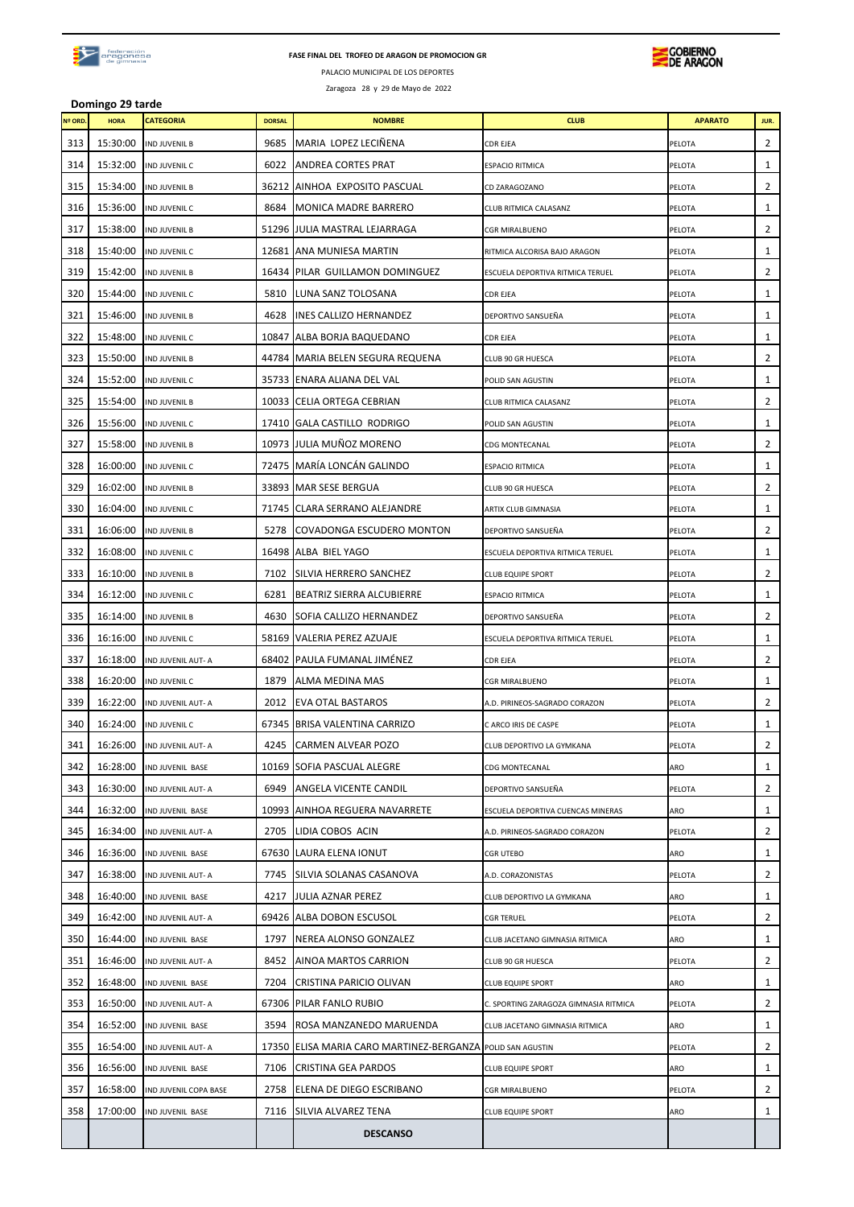

### **FASE FINAL DEL TROFEO DE ARAGON DE PROMOCION GR**



PALACIO MUNICIPAL DE LOS DEPORTES Zaragoza 28 y 29 de Mayo de 2022

**Domingo 29 tarde**

| Nº ORD | <b>HORA</b> | <b>CATEGORIA</b>      | <b>DORSAL</b> | <b>NOMBRE</b>                                        | <b>CLUB</b>                           | <b>APARATO</b> | JUR.         |
|--------|-------------|-----------------------|---------------|------------------------------------------------------|---------------------------------------|----------------|--------------|
| 313    | 15:30:00    | <b>IND JUVENIL B</b>  | 9685          | MARIA LOPEZ LECIÑENA                                 | <b>CDR EJEA</b>                       | PELOTA         | 2            |
| 314    | 15:32:00    | IND JUVENIL C         | 6022          | ANDREA CORTES PRAT                                   | <b>ESPACIO RITMICA</b>                | PELOTA         | 1            |
| 315    | 15:34:00    | <b>IND JUVENIL B</b>  | 36212         | AINHOA EXPOSITO PASCUAL                              | CD ZARAGOZANO                         | PELOTA         | 2            |
| 316    | 15:36:00    | IND JUVENIL C         | 8684          | <b>MONICA MADRE BARRERO</b>                          | CLUB RITMICA CALASANZ                 | PELOTA         | 1            |
| 317    | 15:38:00    | <b>IND JUVENIL B</b>  |               | 51296 JULIA MASTRAL LEJARRAGA                        | <b>CGR MIRALBUENO</b>                 | PELOTA         | 2            |
| 318    | 15:40:00    | IND JUVENIL C         |               | 12681 ANA MUNIESA MARTIN                             | RITMICA ALCORISA BAJO ARAGON          | PELOTA         | 1            |
| 319    | 15:42:00    | <b>IND JUVENIL B</b>  |               | 16434 PILAR GUILLAMON DOMINGUEZ                      | ESCUELA DEPORTIVA RITMICA TERUEL      | PELOTA         | 2            |
| 320    | 15:44:00    | IND JUVENIL C         | 5810          | LUNA SANZ TOLOSANA                                   | <b>CDR EJEA</b>                       | PELOTA         | 1            |
| 321    | 15:46:00    | <b>IND JUVENIL B</b>  | 4628          | <b>INES CALLIZO HERNANDEZ</b>                        | DEPORTIVO SANSUEÑA                    | PELOTA         | 1            |
| 322    | 15:48:00    | IND JUVENIL C         | 10847         | ALBA BORJA BAQUEDANO                                 | <b>CDR EJEA</b>                       | PELOTA         | 1            |
| 323    | 15:50:00    | <b>IND JUVENIL B</b>  |               | 44784   MARIA BELEN SEGURA REQUENA                   | CLUB 90 GR HUESCA                     | PELOTA         | 2            |
| 324    | 15:52:00    | IND JUVENIL C         |               | 35733 ENARA ALIANA DEL VAL                           | POLID SAN AGUSTIN                     | PELOTA         | 1            |
| 325    | 15:54:00    | <b>IND JUVENIL B</b>  |               | 10033 CELIA ORTEGA CEBRIAN                           | CLUB RITMICA CALASANZ                 | PELOTA         | 2            |
| 326    | 15:56:00    | IND JUVENIL C         |               | 17410 GALA CASTILLO RODRIGO                          | POLID SAN AGUSTIN                     | PELOTA         | 1            |
| 327    | 15:58:00    | <b>IND JUVENIL B</b>  |               | 10973 JULIA MUÑOZ MORENO                             | <b>CDG MONTECANAL</b>                 | PELOTA         | 2            |
| 328    | 16:00:00    | IND JUVENIL C         |               | 72475 MARÍA LONCÁN GALINDO                           | <b>ESPACIO RITMICA</b>                | PELOTA         | 1            |
| 329    | 16:02:00    | <b>IND JUVENIL B</b>  |               | 33893 MAR SESE BERGUA                                | CLUB 90 GR HUESCA                     | PELOTA         | 2            |
| 330    | 16:04:00    | IND JUVENIL C         |               | 71745 CLARA SERRANO ALEJANDRE                        | ARTIX CLUB GIMNASIA                   | PELOTA         | 1            |
| 331    | 16:06:00    | <b>IND JUVENIL B</b>  | 5278          | COVADONGA ESCUDERO MONTON                            | DEPORTIVO SANSUEÑA                    | PELOTA         | 2            |
| 332    | 16:08:00    | IND JUVENIL C         |               | 16498 ALBA BIEL YAGO                                 | ESCUELA DEPORTIVA RITMICA TERUEL      | PELOTA         | 1            |
| 333    | 16:10:00    | <b>IND JUVENIL B</b>  | 7102          | SILVIA HERRERO SANCHEZ                               | <b>CLUB EQUIPE SPORT</b>              | PELOTA         | 2            |
| 334    | 16:12:00    | IND JUVENIL C         | 6281          | BEATRIZ SIERRA ALCUBIERRE                            | <b>ESPACIO RITMICA</b>                | PELOTA         | 1            |
| 335    | 16:14:00    | <b>IND JUVENIL B</b>  | 4630          | SOFIA CALLIZO HERNANDEZ                              | DEPORTIVO SANSUEÑA                    | PELOTA         | 2            |
| 336    | 16:16:00    | IND JUVENIL C         |               | 58169 VALERIA PEREZ AZUAJE                           | ESCUELA DEPORTIVA RITMICA TERUEL      | PELOTA         | 1            |
| 337    | 16:18:00    | IND JUVENIL AUT- A    | 68402         | PAULA FUMANAL JIMÉNEZ                                | <b>CDR EJEA</b>                       | PELOTA         | 2            |
| 338    | 16:20:00    | IND JUVENIL C         | 1879          | ALMA MEDINA MAS                                      | <b>CGR MIRALBUENO</b>                 | PELOTA         | 1            |
| 339    | 16:22:00    | IND JUVENIL AUT- A    | 2012          | <b>EVA OTAL BASTAROS</b>                             | A.D. PIRINEOS-SAGRADO CORAZON         | PELOTA         | 2            |
| 340    | 16:24:00    | IND JUVENIL C         |               | 67345 BRISA VALENTINA CARRIZO                        | C ARCO IRIS DE CASPE                  | PELOTA         | 1            |
| 341    | 16:26:00    | IND JUVENIL AUT- A    |               | 4245 CARMEN ALVEAR POZO                              | CLUB DEPORTIVO LA GYMKANA             | PELOTA         | 2            |
| 342    | 16:28:00    | IND JUVENIL BASE      |               | 10169 SOFIA PASCUAL ALEGRE                           | <b>CDG MONTECANAL</b>                 | ARO            | $\mathbf{1}$ |
| 343    | 16:30:00    | IND JUVENIL AUT- A    | 6949          | ANGELA VICENTE CANDIL                                | DEPORTIVO SANSUEÑA                    | PELOTA         | 2            |
| 344    | 16:32:00    | IND JUVENIL BASE      | 10993         | AINHOA REGUERA NAVARRETE                             | ESCUELA DEPORTIVA CUENCAS MINERAS     | ARO            | 1            |
| 345    | 16:34:00    | IND JUVENIL AUT- A    | 2705          | LIDIA COBOS ACIN                                     | A.D. PIRINEOS-SAGRADO CORAZON         | PELOTA         | 2            |
| 346    | 16:36:00    | IND JUVENIL BASE      |               | 67630 LAURA ELENA IONUT                              | <b>CGR UTEBO</b>                      | ARO            | 1            |
| 347    | 16:38:00    | IND JUVENIL AUT- A    | 7745          | SILVIA SOLANAS CASANOVA                              | A.D. CORAZONISTAS                     | PELOTA         | 2            |
| 348    | 16:40:00    | IND JUVENIL BASE      | 4217          | JULIA AZNAR PEREZ                                    | CLUB DEPORTIVO LA GYMKANA             | ARO            | 1            |
| 349    | 16:42:00    | IND JUVENIL AUT- A    | 69426         | ALBA DOBON ESCUSOL                                   | <b>CGR TERUEL</b>                     | PELOTA         | 2            |
| 350    | 16:44:00    | IND JUVENIL BASE      | 1797          | NEREA ALONSO GONZALEZ                                | CLUB JACETANO GIMNASIA RITMICA        | ARO            | 1            |
| 351    | 16:46:00    | IND JUVENIL AUT- A    | 8452          | AINOA MARTOS CARRION                                 | CLUB 90 GR HUESCA                     | PELOTA         | 2            |
| 352    | 16:48:00    | IND JUVENIL BASE      | 7204          | CRISTINA PARICIO OLIVAN                              | <b>CLUB EQUIPE SPORT</b>              | ARO            | 1            |
| 353    | 16:50:00    | IND JUVENIL AUT- A    | 67306         | PILAR FANLO RUBIO                                    | C. SPORTING ZARAGOZA GIMNASIA RITMICA | PELOTA         | 2            |
| 354    | 16:52:00    | IND JUVENIL BASE      | 3594          | ROSA MANZANEDO MARUENDA                              | CLUB JACETANO GIMNASIA RITMICA        | ARO            | 1            |
| 355    | 16:54:00    | IND JUVENIL AUT- A    | 17350         | ELISA MARIA CARO MARTINEZ-BERGANZA POLID SAN AGUSTIN |                                       | PELOTA         | 2            |
| 356    | 16:56:00    | IND JUVENIL BASE      | 7106          | CRISTINA GEA PARDOS                                  | <b>CLUB EQUIPE SPORT</b>              | ARO            | 1            |
| 357    | 16:58:00    | IND JUVENIL COPA BASE | 2758          | ELENA DE DIEGO ESCRIBANO                             | <b>CGR MIRALBUENO</b>                 | PELOTA         | 2            |
| 358    | 17:00:00    | IND JUVENIL BASE      | 7116          | SILVIA ALVAREZ TENA                                  | <b>CLUB EQUIPE SPORT</b>              | ARO            | $\mathbf{1}$ |
|        |             |                       |               | <b>DESCANSO</b>                                      |                                       |                |              |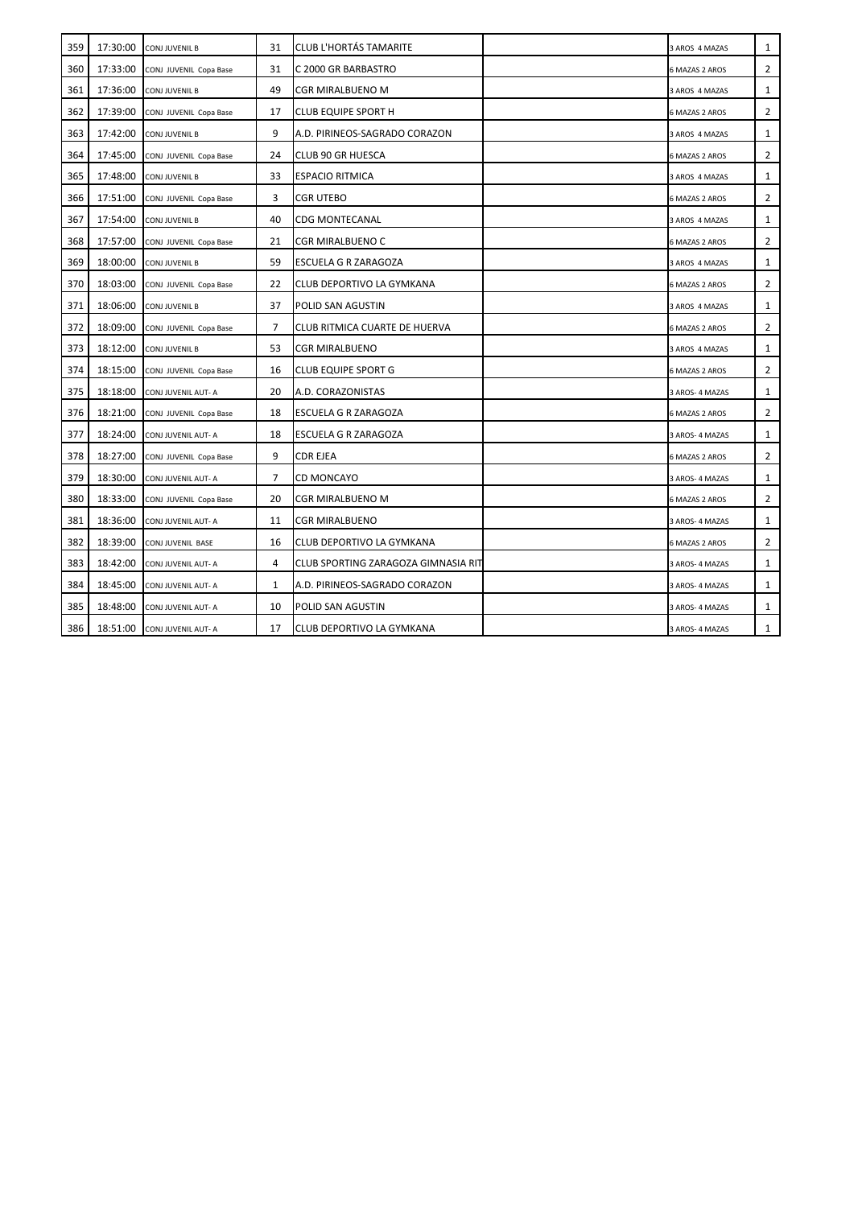| 359 | 17:30:00 | <b>CONJ JUVENIL B</b>  | 31 | <b>CLUB L'HORTÁS TAMARITE</b>       | 3 AROS 4 MAZAS        | $\mathbf{1}$   |
|-----|----------|------------------------|----|-------------------------------------|-----------------------|----------------|
| 360 | 17:33:00 | CONJ JUVENIL Copa Base | 31 | C 2000 GR BARBASTRO                 | 6 MAZAS 2 AROS        | $\overline{2}$ |
| 361 | 17:36:00 | <b>CONJ JUVENIL B</b>  | 49 | CGR MIRALBUENO M                    | 3 AROS 4 MAZAS        | 1              |
| 362 | 17:39:00 | CONJ JUVENIL Copa Base | 17 | <b>CLUB EQUIPE SPORT H</b>          | 6 MAZAS 2 AROS        | $\overline{2}$ |
| 363 | 17:42:00 | CONJ JUVENIL B         | 9  | A.D. PIRINEOS-SAGRADO CORAZON       | 3 AROS 4 MAZAS        | 1              |
| 364 | 17:45:00 | CONJ JUVENIL Copa Base | 24 | <b>CLUB 90 GR HUESCA</b>            | 6 MAZAS 2 AROS        | 2              |
| 365 | 17:48:00 | CONJ JUVENIL B         | 33 | <b>ESPACIO RITMICA</b>              | 3 AROS 4 MAZAS        | 1              |
| 366 | 17:51:00 | CONJ JUVENIL Copa Base | 3  | CGR UTEBO                           | <b>6 MAZAS 2 AROS</b> | 2              |
| 367 | 17:54:00 | <b>CONJ JUVENIL B</b>  | 40 | <b>CDG MONTECANAL</b>               | 3 AROS 4 MAZAS        | 1              |
| 368 | 17:57:00 | CONJ JUVENIL Copa Base | 21 | <b>CGR MIRALBUENO C</b>             | 6 MAZAS 2 AROS        | 2              |
| 369 | 18:00:00 | <b>CONJ JUVENIL B</b>  | 59 | ESCUELA G R ZARAGOZA                | 3 AROS 4 MAZAS        | $\mathbf{1}$   |
| 370 | 18:03:00 | CONJ JUVENIL Copa Base | 22 | CLUB DEPORTIVO LA GYMKANA           | 6 MAZAS 2 AROS        | 2              |
| 371 | 18:06:00 | <b>CONJ JUVENIL B</b>  | 37 | POLID SAN AGUSTIN                   | 3 AROS 4 MAZAS        | 1              |
| 372 | 18:09:00 | CONJ JUVENIL Copa Base | 7  | CLUB RITMICA CUARTE DE HUERVA       | 6 MAZAS 2 AROS        | $\overline{2}$ |
| 373 | 18:12:00 | CONJ JUVENIL B         | 53 | <b>CGR MIRALBUENO</b>               | 3 AROS 4 MAZAS        | 1              |
| 374 | 18:15:00 | CONJ JUVENIL Copa Base | 16 | <b>CLUB EQUIPE SPORT G</b>          | 6 MAZAS 2 AROS        | 2              |
| 375 | 18:18:00 | CONJ JUVENIL AUT- A    | 20 | A.D. CORAZONISTAS                   | 3 AROS- 4 MAZAS       | $\mathbf{1}$   |
| 376 | 18:21:00 | CONJ JUVENIL Copa Base | 18 | ESCUELA G R ZARAGOZA                | 6 MAZAS 2 AROS        | 2              |
| 377 | 18:24:00 | CONJ JUVENIL AUT- A    | 18 | ESCUELA G R ZARAGOZA                | 3 AROS-4 MAZAS        | 1              |
| 378 | 18:27:00 | CONJ JUVENIL Copa Base | 9  | <b>CDR EJEA</b>                     | 6 MAZAS 2 AROS        | 2              |
| 379 | 18:30:00 | CONJ JUVENIL AUT- A    | 7  | <b>CD MONCAYO</b>                   | 3 AROS- 4 MAZAS       | 1              |
| 380 | 18:33:00 | CONJ JUVENIL Copa Base | 20 | CGR MIRALBUENO M                    | 6 MAZAS 2 AROS        | 2              |
| 381 | 18:36:00 | CONJ JUVENIL AUT- A    | 11 | <b>CGR MIRALBUENO</b>               | 3 AROS- 4 MAZAS       | 1              |
| 382 | 18:39:00 | CONJ JUVENIL BASE      | 16 | CLUB DEPORTIVO LA GYMKANA           | <b>6 MAZAS 2 AROS</b> | 2              |
| 383 | 18:42:00 | CONJ JUVENIL AUT- A    | 4  | CLUB SPORTING ZARAGOZA GIMNASIA RIT | 3 AROS- 4 MAZAS       | 1              |
| 384 | 18:45:00 | CONJ JUVENIL AUT- A    | 1  | A.D. PIRINEOS-SAGRADO CORAZON       | 3 AROS- 4 MAZAS       | $\mathbf{1}$   |
| 385 | 18:48:00 | CONJ JUVENIL AUT- A    | 10 | POLID SAN AGUSTIN                   | 3 AROS- 4 MAZAS       | 1              |
| 386 | 18:51:00 | CONJ JUVENIL AUT- A    | 17 | CLUB DEPORTIVO LA GYMKANA           | 3 AROS- 4 MAZAS       | $\mathbf{1}$   |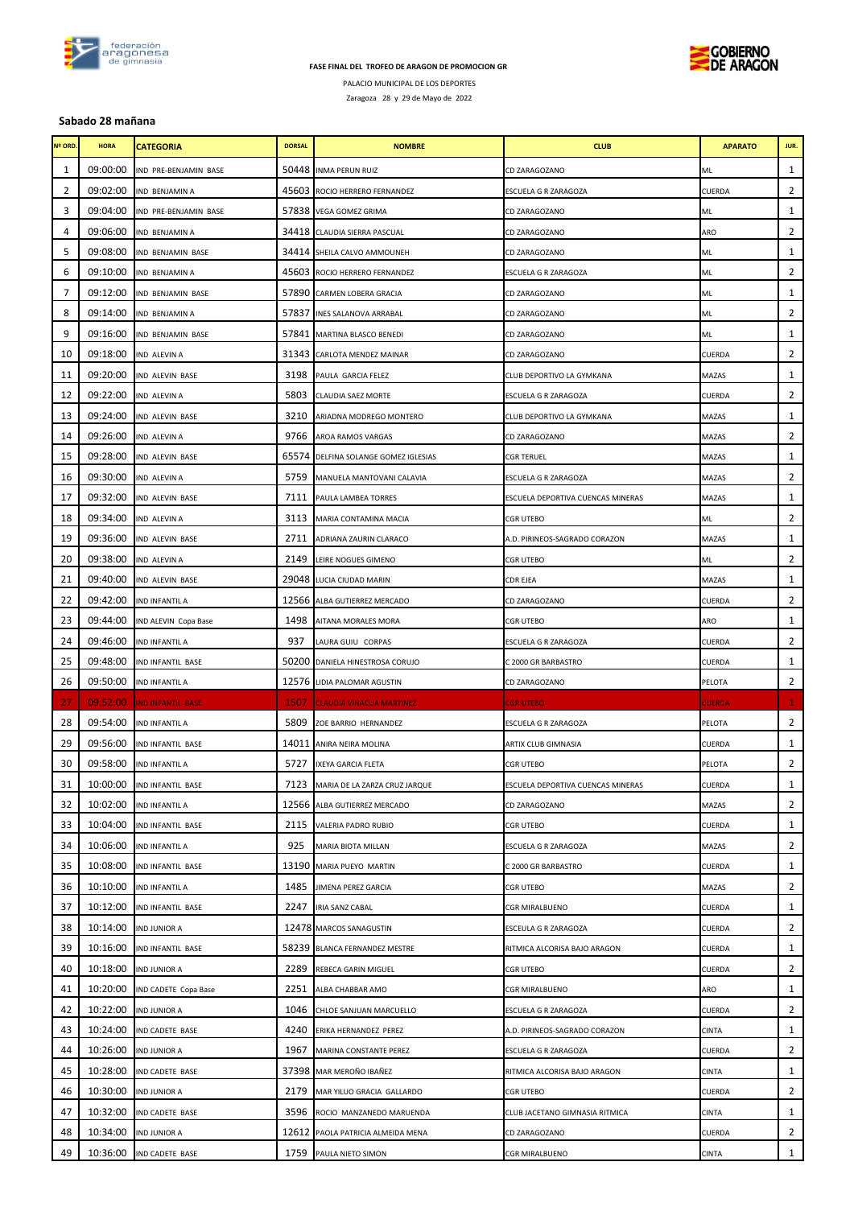

## **FASE FINAL DEL TROFEO DE ARAGON DE PROMOCION GR**



PALACIO MUNICIPAL DE LOS DEPORTES

Zaragoza 28 y 29 de Mayo de 2022

## **Sabado 28 mañana**

| Nº ORD. | <b>HORA</b> | CATEGORIA                | <b>DORSAL</b> | <b>NOMBRE</b>                      | <b>CLUB</b>                       | <b>APARATO</b> | JUR.           |
|---------|-------------|--------------------------|---------------|------------------------------------|-----------------------------------|----------------|----------------|
| 1       | 09:00:00    | IND PRE-BENJAMIN BASE    |               | 50448 INMA PERUN RUIZ              | CD ZARAGOZANO                     | ML             | 1              |
| 2       | 09:02:00    | IND BENJAMIN A           |               | 45603 ROCIO HERRERO FERNANDEZ      | ESCUELA G R ZARAGOZA              | CUERDA         | $\overline{2}$ |
| 3       | 09:04:00    | IND PRE-BENJAMIN BASE    |               | 57838 VEGA GOMEZ GRIMA             | CD ZARAGOZANO                     | ML             | $1\,$          |
| 4       | 09:06:00    | IND BENJAMIN A           |               | 34418 CLAUDIA SIERRA PASCUAL       | CD ZARAGOZANO                     | ARO            | $\overline{2}$ |
| 5       | 09:08:00    | IND BENJAMIN BASE        |               | 34414 SHEILA CALVO AMMOUNEH        | CD ZARAGOZANO                     | ML             | $\mathbf{1}$   |
| 6       | 09:10:00    | IND BENJAMIN A           |               | 45603 ROCIO HERRERO FERNANDEZ      | ESCUELA G R ZARAGOZA              | ML             | 2              |
| 7       | 09:12:00    | IND BENJAMIN BASE        |               | 57890 CARMEN LOBERA GRACIA         | CD ZARAGOZANO                     | ML             | $1\,$          |
| 8       | 09:14:00    | IND BENJAMIN A           | 57837         | <b>INES SALANOVA ARRABAL</b>       | CD ZARAGOZANO                     | ML             | 2              |
| 9       | 09:16:00    | IND BENJAMIN BASE        | 57841         | MARTINA BLASCO BENEDI              | CD ZARAGOZANO                     | ML             | $\mathbf{1}$   |
| 10      | 09:18:00    | IND ALEVIN A             |               | 31343 CARLOTA MENDEZ MAINAR        | CD ZARAGOZANO                     | CUERDA         | 2              |
| 11      | 09:20:00    | IND ALEVIN BASE          | 3198          | PAULA GARCIA FELEZ                 | CLUB DEPORTIVO LA GYMKANA         | MAZAS          | $1\,$          |
| 12      | 09:22:00    | IND ALEVIN A             | 5803          | <b>CLAUDIA SAEZ MORTE</b>          | ESCUELA G R ZARAGOZA              | CUERDA         | $\overline{2}$ |
| 13      | 09:24:00    | IND ALEVIN BASE          | 3210          | ARIADNA MODREGO MONTERO            | CLUB DEPORTIVO LA GYMKANA         | MAZAS          | 1              |
| 14      | 09:26:00    | IND ALEVIN A             | 9766          | AROA RAMOS VARGAS                  | CD ZARAGOZANO                     | MAZAS          | 2              |
| 15      | 09:28:00    | IND ALEVIN BASE          | 65574         | DELFINA SOLANGE GOMEZ IGLESIAS     | <b>CGR TERUEL</b>                 | MAZAS          | $\mathbf{1}$   |
| 16      | 09:30:00    | IND ALEVIN A             | 5759          | MANUELA MANTOVANI CALAVIA          | ESCUELA G R ZARAGOZA              | MAZAS          | $\overline{2}$ |
| 17      | 09:32:00    | IND ALEVIN BASE          | 7111          | PAULA LAMBEA TORRES                | ESCUELA DEPORTIVA CUENCAS MINERAS | MAZAS          | $\mathbf{1}$   |
| 18      | 09:34:00    | IND ALEVIN A             | 3113          | MARIA CONTAMINA MACIA              | <b>CGR UTEBO</b>                  | ML             | 2              |
| 19      | 09:36:00    | IND ALEVIN BASE          | 2711          | ADRIANA ZAURIN CLARACO             | A.D. PIRINEOS-SAGRADO CORAZON     | MAZAS          | $1\,$          |
| 20      | 09:38:00    | IND ALEVIN A             | 2149          | LEIRE NOGUES GIMENO                | CGR UTEBO                         | ML             | $\overline{2}$ |
| 21      | 09:40:00    | IND ALEVIN BASE          |               | 29048 LUCIA CIUDAD MARIN           | <b>CDR EJEA</b>                   | MAZAS          | 1              |
| 22      | 09:42:00    | IND INFANTIL A           |               | 12566 ALBA GUTIERREZ MERCADO       | CD ZARAGOZANO                     | CUERDA         | 2              |
| 23      | 09:44:00    | IND ALEVIN Copa Base     | 1498          | AITANA MORALES MORA                | <b>CGR UTEBO</b>                  | ARO            | $1\,$          |
| 24      | 09:46:00    | IND INFANTIL A           | 937           | LAURA GUIU CORPAS                  | ESCUELA G R ZARAGOZA              | CUERDA         | $\overline{2}$ |
| 25      | 09:48:00    | IND INFANTIL BASE        |               | 50200 DANIELA HINESTROSA CORUJO    | C 2000 GR BARBASTRO               | CUERDA         | $\mathbf{1}$   |
| 26      | 09:50:00    | IND INFANTIL A           |               | 12576 LIDIA PALOMAR AGUSTIN        | CD ZARAGOZANO                     | PELOTA         | $\overline{2}$ |
| 27      | 09:52:00    | <b>IND INFANTIL BASE</b> | 1507          | <b>CLAUDIA VINACUA MARTINEZ</b>    | <b>CGR UTEBO</b>                  | CUERDA         | $\mathbf 1$    |
| 28      | 09:54:00    | IND INFANTIL A           | 5809          | ZOE BARRIO HERNANDEZ               | ESCUELA G R ZARAGOZA              | PELOTA         | $\overline{2}$ |
| 29      | 09:56:00    | IND INFANTIL BASE        | 14011         | ANIRA NEIRA MOLINA                 | ARTIX CLUB GIMNASIA               | CUERDA         | 1              |
| 30      | 09:58:00    | IND INFANTIL A           | 5727          | IXEYA GARCIA FLETA                 | <b>CGR UTEBO</b>                  | PELOTA         | 2              |
| 31      | 10:00:00    | IND INFANTIL BASE        |               | 7123 MARIA DE LA ZARZA CRUZ JARQUE | ESCUELA DEPORTIVA CUENCAS MINERAS | CUERDA         | 1              |
| 32      | 10:02:00    | IND INFANTIL A           |               | 12566 ALBA GUTIERREZ MERCADO       | CD ZARAGOZANO                     | MAZAS          | $\overline{2}$ |
| 33      | 10:04:00    | IND INFANTIL BASE        |               | 2115 VALERIA PADRO RUBIO           | <b>CGR UTEBO</b>                  | CUERDA         | $\mathbf{1}$   |
| 34      | 10:06:00    | IND INFANTIL A           | 925           | MARIA BIOTA MILLAN                 | ESCUELA G R ZARAGOZA              | MAZAS          | 2              |
| 35      | 10:08:00    | IND INFANTIL BASE        |               | 13190 MARIA PUEYO MARTIN           | C 2000 GR BARBASTRO               | CUERDA         | 1              |
| 36      | 10:10:00    | IND INFANTIL A           | 1485          | JIMENA PEREZ GARCIA                | <b>CGR UTEBO</b>                  | MAZAS          | 2              |
| 37      | 10:12:00    | <b>IND INFANTIL BASE</b> | 2247          | <b>IRIA SANZ CABAL</b>             | <b>CGR MIRALBUENO</b>             | CUERDA         | $\mathbf{1}$   |
| 38      | 10:14:00    | <b>IND JUNIOR A</b>      |               | 12478 MARCOS SANAGUSTIN            | ESCEULA G R ZARAGOZA              | CUERDA         | 2              |
| 39      | 10:16:00    | IND INFANTIL BASE        |               | 58239 BLANCA FERNANDEZ MESTRE      | RITMICA ALCORISA BAJO ARAGON      | CUERDA         | $\mathbf{1}$   |
| 40      | 10:18:00    | <b>IND JUNIOR A</b>      | 2289          | REBECA GARIN MIGUEL                | <b>CGR UTEBO</b>                  | CUERDA         | 2              |
| 41      | 10:20:00    | IND CADETE Copa Base     | 2251          | ALBA CHABBAR AMO                   | CGR MIRALBUENO                    | ARO            | $1\,$          |
| 42      | 10:22:00    | IND JUNIOR A             | 1046          | CHLOE SANJUAN MARCUELLO            | ESCUELA G R ZARAGOZA              | CUERDA         | 2              |
| 43      | 10:24:00    | IND CADETE BASE          | 4240          | ERIKA HERNANDEZ PEREZ              | A.D. PIRINEOS-SAGRADO CORAZON     | CINTA          | 1              |
| 44      | 10:26:00    | IND JUNIOR A             | 1967          | MARINA CONSTANTE PEREZ             | ESCUELA G R ZARAGOZA              | CUERDA         | $\overline{2}$ |
| 45      | 10:28:00    | IND CADETE BASE          |               | 37398 MAR MEROÑO IBAÑEZ            | RITMICA ALCORISA BAJO ARAGON      | <b>CINTA</b>   | $1\,$          |
| 46      | 10:30:00    | IND JUNIOR A             | 2179          | MAR YILUO GRACIA GALLARDO          | <b>CGR UTEBO</b>                  | CUERDA         | 2              |
| 47      | 10:32:00    | IND CADETE BASE          | 3596          | ROCIO MANZANEDO MARUENDA           | CLUB JACETANO GIMNASIA RITMICA    | CINTA          | 1              |
| 48      | 10:34:00    | <b>IND JUNIOR A</b>      |               | 12612 PAOLA PATRICIA ALMEIDA MENA  | CD ZARAGOZANO                     | CUERDA         | 2              |
| 49      | 10:36:00    | IND CADETE BASE          |               | 1759 PAULA NIETO SIMON             | CGR MIRALBUENO                    | CINTA          | $\mathbf{1}$   |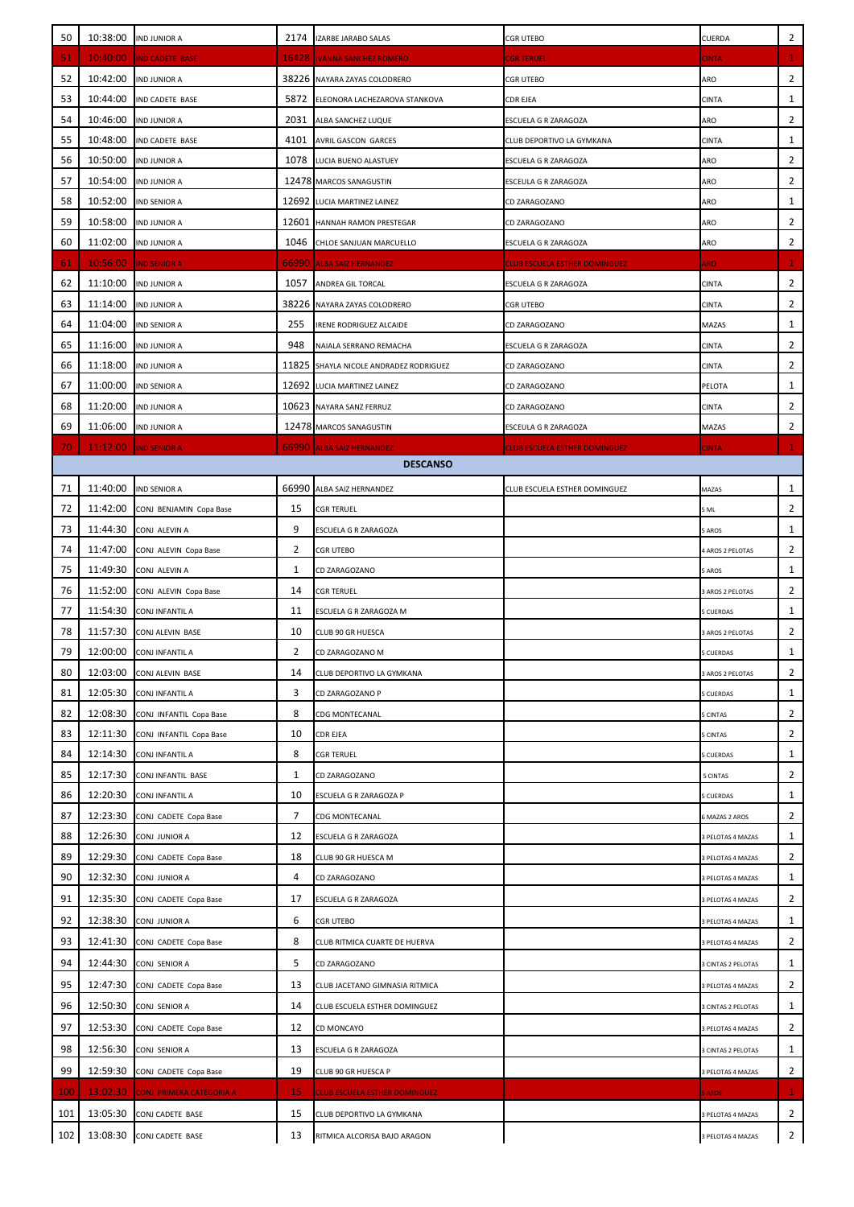| 50                                                                                                                  |                      | 10:38:00 IND JUNIOR A               |         | 2174 IZARBE JARABO SALAS                     | <b>CGR UTEBO</b>                     | CUERDA                      | $\overline{2}$ |  |  |  |
|---------------------------------------------------------------------------------------------------------------------|----------------------|-------------------------------------|---------|----------------------------------------------|--------------------------------------|-----------------------------|----------------|--|--|--|
| 51                                                                                                                  | 10:40:00             | <b>IND CADETE BASE</b>              |         | <b>16428 IVANNA SANCHEZ ROMERO</b>           | CGR TERUEL                           | <b>CINTA</b>                | 1              |  |  |  |
| 52                                                                                                                  | 10:42:00             | <b>IND JUNIOR A</b>                 |         | 38226 NAYARA ZAYAS COLODRERO                 | <b>CGR UTEBO</b>                     | ARO                         | $\overline{2}$ |  |  |  |
| 53                                                                                                                  | 10:44:00             | IND CADETE BASE                     | 5872    | ELEONORA LACHEZAROVA STANKOVA                | CDR EJEA                             | <b>CINTA</b>                | $\mathbf{1}$   |  |  |  |
| 54                                                                                                                  | 10:46:00             | <b>IND JUNIOR A</b>                 | 2031    | ALBA SANCHEZ LUQUE                           | ESCUELA G R ZARAGOZA                 | ARO                         | 2              |  |  |  |
| 55                                                                                                                  | 10:48:00             | IND CADETE BASE                     | 4101    | <b>AVRIL GASCON GARCES</b>                   | CLUB DEPORTIVO LA GYMKANA            | <b>CINTA</b>                | 1              |  |  |  |
| 56                                                                                                                  | 10:50:00             | <b>IND JUNIOR A</b>                 | 1078    | LUCIA BUENO ALASTUEY                         | ESCUELA G R ZARAGOZA                 | ARO                         | 2              |  |  |  |
| 57                                                                                                                  | 10:54:00             | <b>IND JUNIOR A</b>                 |         | 12478 MARCOS SANAGUSTIN                      | ESCEULA G R ZARAGOZA                 | ARO                         | 2              |  |  |  |
| 58                                                                                                                  | 10:52:00             | <b>IND SENIOR A</b>                 |         | 12692 LUCIA MARTINEZ LAINEZ                  | CD ZARAGOZANO                        | ARO                         | $\mathbf{1}$   |  |  |  |
| 59                                                                                                                  | 10:58:00             | <b>IND JUNIOR A</b>                 | 12601   | HANNAH RAMON PRESTEGAR                       | CD ZARAGOZANO                        | ARO                         | 2              |  |  |  |
| 60                                                                                                                  | 11:02:00             | <b>IND JUNIOR A</b>                 | 1046    | CHLOE SANJUAN MARCUELLO                      | ESCUELA G R ZARAGOZA                 | ARO                         | $\overline{2}$ |  |  |  |
| 61                                                                                                                  | 10:56:00             | <b>IND SENIOR A</b>                 |         | 66990 ALBA SAIZ HERNANDEZ                    | <b>CLUB ESCUELA ESTHER DOMINGUEZ</b> | ARO                         | $\mathbf{1}$   |  |  |  |
| 62                                                                                                                  | 11:10:00             | <b>IND JUNIOR A</b>                 | 1057    | ANDREA GIL TORCAL                            | ESCUELA G R ZARAGOZA                 | CINTA                       | $\overline{2}$ |  |  |  |
| 63                                                                                                                  | 11:14:00             | <b>IND JUNIOR A</b>                 |         | 38226 NAYARA ZAYAS COLODRERO                 | <b>CGR UTEBO</b>                     | <b>CINTA</b>                | $\overline{2}$ |  |  |  |
| 64                                                                                                                  | 11:04:00             | <b>IND SENIOR A</b>                 | 255     | <b>IRENE RODRIGUEZ ALCAIDE</b>               | CD ZARAGOZANO                        | MAZAS                       | 1              |  |  |  |
| 65                                                                                                                  | 11:16:00             | <b>IND JUNIOR A</b>                 | 948     | NAIALA SERRANO REMACHA                       | ESCUELA G R ZARAGOZA                 | CINTA                       | 2              |  |  |  |
| 66                                                                                                                  | 11:18:00             | <b>IND JUNIOR A</b>                 | 11825   | SHAYLA NICOLE ANDRADEZ RODRIGUEZ             | CD ZARAGOZANO                        | CINTA                       | $\overline{2}$ |  |  |  |
| 67                                                                                                                  | 11:00:00             | <b>IND SENIOR A</b>                 |         | 12692 LUCIA MARTINEZ LAINEZ                  | CD ZARAGOZANO                        | PELOTA                      | $1\,$          |  |  |  |
| 68                                                                                                                  | 11:20:00             | <b>IND JUNIOR A</b>                 |         | 10623 NAYARA SANZ FERRUZ                     | CD ZARAGOZANO                        | <b>CINTA</b>                | $\overline{2}$ |  |  |  |
| 69                                                                                                                  | 11:06:00             | <b>IND JUNIOR A</b>                 |         | 12478 MARCOS SANAGUSTIN                      | ESCEULA G R ZARAGOZA                 | MAZAS                       | 2              |  |  |  |
| 70<br>11:12:00<br>66990 ALBA SAIZ HERNANDEZ<br><b>IND SENIOR A</b><br>CLUB ESCUELA ESTHER DOMINGUEZ<br><b>ATMIC</b> |                      |                                     |         |                                              |                                      |                             |                |  |  |  |
|                                                                                                                     |                      |                                     |         | <b>DESCANSO</b>                              |                                      |                             |                |  |  |  |
| 71                                                                                                                  | 11:40:00             | <b>IND SENIOR A</b>                 | 66990   | ALBA SAIZ HERNANDEZ                          | CLUB ESCUELA ESTHER DOMINGUEZ        | MAZAS                       | 1              |  |  |  |
| 72                                                                                                                  | 11:42:00             | CONJ BENJAMIN Copa Base             | 15      | <b>CGR TERUEL</b>                            |                                      | 5 ML                        | $\overline{2}$ |  |  |  |
| 73                                                                                                                  | 11:44:30             | CONJ ALEVIN A                       | 9       | ESCUELA G R ZARAGOZA                         |                                      | <b>AROS</b>                 | 1              |  |  |  |
| 74                                                                                                                  | 11:47:00             | CONJ ALEVIN Copa Base               | 2       | <b>CGR UTEBO</b>                             |                                      | 4 AROS 2 PELOTAS            | 2              |  |  |  |
| 75                                                                                                                  | 11:49:30             | CONJ ALEVIN A                       | 1       | CD ZARAGOZANO                                |                                      | 5 AROS                      | $1\,$          |  |  |  |
| 76                                                                                                                  | 11:52:00             | CONJ ALEVIN Copa Base               | 14      | <b>CGR TERUEL</b>                            |                                      | 3 AROS 2 PELOTAS            | 2              |  |  |  |
| 77                                                                                                                  | 11:54:30             | CONJ INFANTIL A                     | 11      | ESCUELA G R ZARAGOZA M                       |                                      | <b>CUERDAS</b>              | 1              |  |  |  |
| 78                                                                                                                  | 11:57:30             | CONJ ALEVIN BASE                    | 10      | CLUB 90 GR HUESCA                            |                                      | <b>AROS 2 PELOTAS</b>       | 2              |  |  |  |
| 79                                                                                                                  | 12:00:00             | CONJ INFANTIL A                     | 2<br>14 | CD ZARAGOZANO M<br>CLUB DEPORTIVO LA GYMKANA |                                      | 5 CUERDAS                   | 1<br>2         |  |  |  |
| 80<br>81                                                                                                            | 12:03:00<br>12:05:30 | CONJ ALEVIN BASE<br>CONJ INFANTIL A | 3       | CD ZARAGOZANO P                              |                                      | 3 AROS 2 PELOTAS<br>CUERDAS | 1              |  |  |  |
| 82                                                                                                                  | 12:08:30             | CONJ INFANTIL Copa Base             | 8       | <b>CDG MONTECANAL</b>                        |                                      | <b>CINTAS</b>               | 2              |  |  |  |
| 83                                                                                                                  | 12:11:30             | CONJ INFANTIL Copa Base             | 10      | <b>CDR EJEA</b>                              |                                      | 5 CINTAS                    | 2              |  |  |  |
| 84                                                                                                                  | 12:14:30             | CONJ INFANTIL A                     | 8       | <b>CGR TERUEL</b>                            |                                      | 5 CUERDAS                   | 1              |  |  |  |
| 85                                                                                                                  | 12:17:30             | CONJ INFANTIL BASE                  | 1       | CD ZARAGOZANO                                |                                      | 5 CINTAS                    | 2              |  |  |  |
| 86                                                                                                                  | 12:20:30             | CONJ INFANTIL A                     | 10      | ESCUELA G R ZARAGOZA P                       |                                      | CUERDAS                     | 1              |  |  |  |
| 87                                                                                                                  | 12:23:30             | CONJ CADETE Copa Base               | 7       | <b>CDG MONTECANAL</b>                        |                                      | <b>MAZAS 2 AROS</b>         | 2              |  |  |  |
| 88                                                                                                                  | 12:26:30             | CONJ JUNIOR A                       | 12      | ESCUELA G R ZARAGOZA                         |                                      | 3 PELOTAS 4 MAZAS           | 1              |  |  |  |
| 89                                                                                                                  | 12:29:30             | CONJ CADETE Copa Base               | 18      | CLUB 90 GR HUESCA M                          |                                      | 3 PELOTAS 4 MAZAS           | 2              |  |  |  |
| 90                                                                                                                  | 12:32:30             | CONJ JUNIOR A                       | 4       | CD ZARAGOZANO                                |                                      | <b>PELOTAS 4 MAZAS</b>      | 1              |  |  |  |
| 91                                                                                                                  | 12:35:30             | CONJ CADETE Copa Base               | 17      | ESCUELA G R ZARAGOZA                         |                                      | 3 PELOTAS 4 MAZAS           | 2              |  |  |  |
| 92                                                                                                                  | 12:38:30             | CONJ JUNIOR A                       | 6       | <b>CGR UTEBO</b>                             |                                      | PELOTAS 4 MAZAS             | $\mathbf{1}$   |  |  |  |
| 93                                                                                                                  | 12:41:30             | CONJ CADETE Copa Base               | 8       | CLUB RITMICA CUARTE DE HUERVA                |                                      | 3 PELOTAS 4 MAZAS           | 2              |  |  |  |
| 94                                                                                                                  | 12:44:30             | <b>CONJ SENIOR A</b>                | 5       | CD ZARAGOZANO                                |                                      | <b>CINTAS 2 PELOTAS</b>     | 1              |  |  |  |
| 95                                                                                                                  | 12:47:30             | CONJ CADETE Copa Base               | 13      | CLUB JACETANO GIMNASIA RITMICA               |                                      | 3 PELOTAS 4 MAZAS           | 2              |  |  |  |
| 96                                                                                                                  | 12:50:30             | CONJ SENIOR A                       | 14      | CLUB ESCUELA ESTHER DOMINGUEZ                |                                      | <b>SCINTAS 2 PELOTAS</b>    | 1              |  |  |  |
| 97                                                                                                                  | 12:53:30             | CONJ CADETE Copa Base               | 12      | CD MONCAYO                                   |                                      | 3 PELOTAS 4 MAZAS           | 2              |  |  |  |
| 98                                                                                                                  | 12:56:30             | <b>CONJ SENIOR A</b>                | 13      |                                              |                                      |                             | $\mathbf{1}$   |  |  |  |
| 99                                                                                                                  |                      |                                     | 19      | ESCUELA G R ZARAGOZA                         |                                      | <b>CINTAS 2 PELOTAS</b>     |                |  |  |  |
|                                                                                                                     | 12:59:30             | CONJ CADETE Copa Base               |         | CLUB 90 GR HUESCA P                          |                                      | 3 PELOTAS 4 MAZAS           | 2              |  |  |  |
| 100                                                                                                                 | 13:02:30             | <u>CONJ PRIMERA CATEGORIA A</u>     | 15      | CLUB ESCUELA ESTHER DOMINGUEZ                |                                      | AROS                        | 1              |  |  |  |
| 101                                                                                                                 | 13:05:30             | CONJ CADETE BASE                    | 15      | CLUB DEPORTIVO LA GYMKANA                    |                                      | PELOTAS 4 MAZAS             | 2              |  |  |  |
| 102                                                                                                                 | 13:08:30             | CONJ CADETE BASE                    | 13      | RITMICA ALCORISA BAJO ARAGON                 |                                      | 3 PELOTAS 4 MAZAS           | $\overline{2}$ |  |  |  |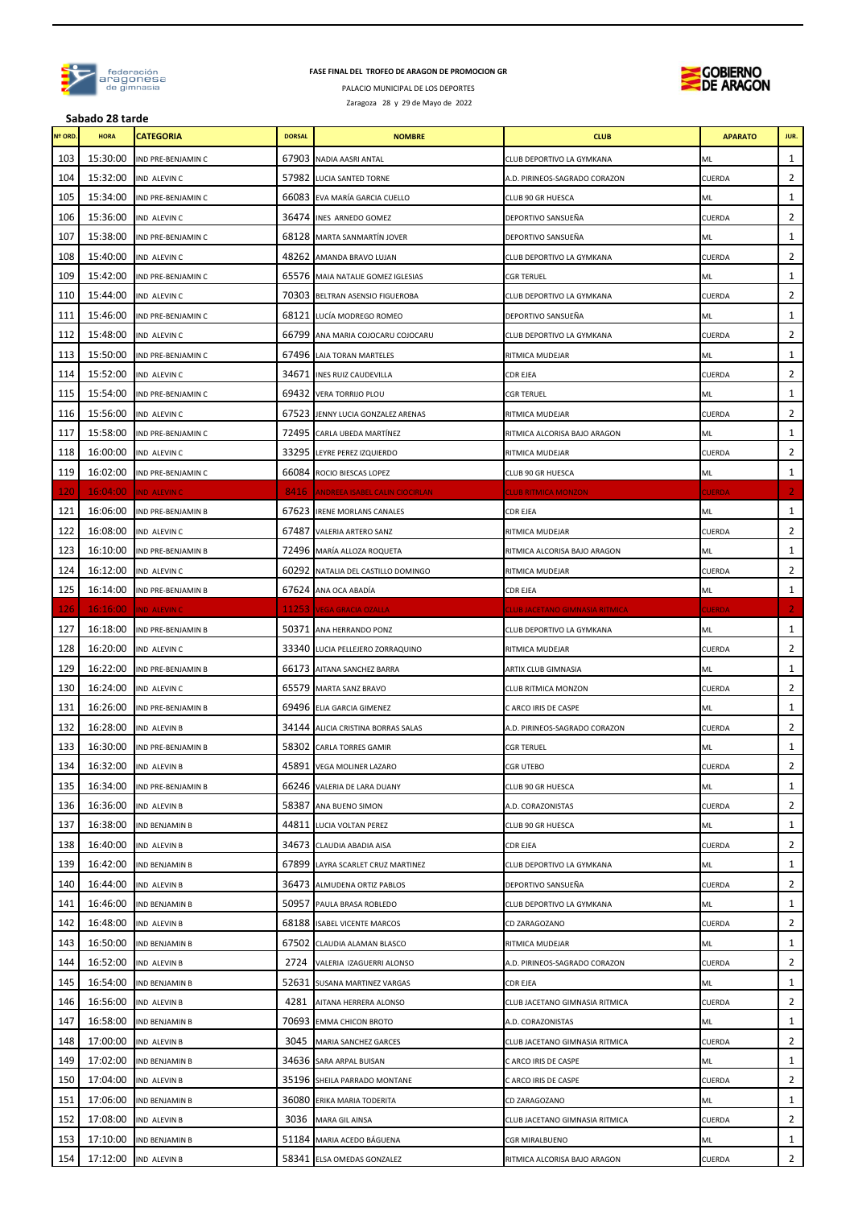

### **FASE FINAL DEL TROFEO DE ARAGON DE PROMOCION GR**

PALACIO MUNICIPAL DE LOS DEPORTES Zaragoza 28 y 29 de Mayo de 2022





**Sabado 28 tarde**

| Nº ORD. | <b>HORA</b> | <b>CATEGORIA</b>          | <b>DORSAL</b> | <b>NOMBRE</b>                         | <b>CLUB</b>                    | <b>APARATO</b> | JUR.           |
|---------|-------------|---------------------------|---------------|---------------------------------------|--------------------------------|----------------|----------------|
| 103     | 15:30:00    | IND PRE-BENJAMIN C        |               | 67903 NADIA AASRI ANTAL               | CLUB DEPORTIVO LA GYMKANA      | ML             | $\mathbf{1}$   |
| 104     | 15:32:00    | IND ALEVIN C              |               | 57982 LUCIA SANTED TORNE              | A.D. PIRINEOS-SAGRADO CORAZON  | CUERDA         | $\overline{2}$ |
| 105     | 15:34:00    | IND PRE-BENJAMIN C        |               | 66083 EVA MARÍA GARCIA CUELLO         | CLUB 90 GR HUESCA              | ML             | $\mathbf{1}$   |
| 106     | 15:36:00    | IND ALEVIN C              |               | 36474 INES ARNEDO GOMEZ               | DEPORTIVO SANSUEÑA             | CUERDA         | $\overline{2}$ |
| 107     | 15:38:00    | IND PRE-BENJAMIN C        |               | 68128 MARTA SANMARTÍN JOVER           | DEPORTIVO SANSUEÑA             | ML             | 1              |
| 108     | 15:40:00    | IND ALEVIN C              |               | 48262 AMANDA BRAVO LUJAN              | CLUB DEPORTIVO LA GYMKANA      | CUERDA         | 2              |
| 109     | 15:42:00    | IND PRE-BENJAMIN C        |               | 65576 MAIA NATALIE GOMEZ IGLESIAS     | CGR TERUEL                     | ML             | 1              |
| 110     | 15:44:00    | IND ALEVIN C              |               | 70303 BELTRAN ASENSIO FIGUEROBA       | CLUB DEPORTIVO LA GYMKANA      | CUERDA         | 2              |
| 111     | 15:46:00    | IND PRE-BENJAMIN C        |               | 68121 LUCÍA MODREGO ROMEO             | DEPORTIVO SANSUEÑA             | ML             | $\mathbf{1}$   |
| 112     | 15:48:00    | IND ALEVIN C              |               | 66799 ANA MARIA COJOCARU COJOCARU     | CLUB DEPORTIVO LA GYMKANA      | CUERDA         | 2              |
| 113     | 15:50:00    | IND PRE-BENJAMIN C        |               | 67496 LAIA TORAN MARTELES             | RITMICA MUDEJAR                | ML             | $\mathbf{1}$   |
| 114     | 15:52:00    | IND ALEVIN C              |               | 34671 INES RUIZ CAUDEVILLA            | CDR EJEA                       | CUERDA         | $\overline{2}$ |
| 115     | 15:54:00    | IND PRE-BENJAMIN C        |               | 69432 VERA TORRIJO PLOU               | CGR TERUEL                     | ML             | $\mathbf{1}$   |
| 116     | 15:56:00    | IND ALEVIN C              |               | 67523 JENNY LUCIA GONZALEZ ARENAS     | RITMICA MUDEJAR                | CUERDA         | 2              |
| 117     | 15:58:00    | IND PRE-BENJAMIN C        |               | 72495 CARLA UBEDA MARTÍNEZ            | RITMICA ALCORISA BAJO ARAGON   | ML             | 1              |
| 118     | 16:00:00    | IND ALEVIN C              |               | 33295 LEYRE PEREZ IZQUIERDO           | RITMICA MUDEJAR                | CUERDA         | $\overline{2}$ |
| 119     | 16:02:00    | IND PRE-BENJAMIN C        |               | 66084 ROCIO BIESCAS LOPEZ             | CLUB 90 GR HUESCA              | ML             | $\mathbf{1}$   |
| 120     | 16:04:00    | <b>IND ALEVIN C</b>       | 8416          | <b>ANDREEA ISABEL CALIN CIOCIRLAN</b> | <b>CLUB RITMICA MONZON</b>     | <b>CUERDA</b>  | $\overline{2}$ |
| 121     | 16:06:00    | IND PRE-BENJAMIN B        |               | 67623 IRENE MORLANS CANALES           | <b>CDR EJEA</b>                | ML             | $\mathbf{1}$   |
| 122     | 16:08:00    | IND ALEVIN C              |               | 67487 VALERIA ARTERO SANZ             | RITMICA MUDEJAR                | CUERDA         | $\overline{2}$ |
| 123     | 16:10:00    | IND PRE-BENJAMIN B        |               | 72496 MARÍA ALLOZA ROQUETA            | RITMICA ALCORISA BAJO ARAGON   | ML             | $\mathbf{1}$   |
|         |             |                           |               |                                       |                                |                | 2              |
| 124     | 16:12:00    | IND ALEVIN C              |               | 60292 NATALIA DEL CASTILLO DOMINGO    | RITMICA MUDEJAR                | CUERDA         |                |
| 125     | 16:14:00    | IND PRE-BENJAMIN B        |               | 67624 ANA OCA ABADÍA                  | <b>CDR EJEA</b>                | ML             | $\mathbf{1}$   |
| 126     | 16:16:00    | IND ALEVIN C              |               | 11253 VEGA GRACIA OZALLA              | CLUB JACETANO GIMNASIA RITMICA | <b>CUERDA</b>  | $\mathbf{2}$   |
| 127     | 16:18:00    | IND PRE-BENJAMIN B        |               | 50371 ANA HERRANDO PONZ               | CLUB DEPORTIVO LA GYMKANA      | ML             | $\mathbf{1}$   |
| 128     | 16:20:00    | IND ALEVIN C              |               | 33340 LUCIA PELLEJERO ZORRAQUINO      | RITMICA MUDEJAR                | CUERDA         | 2              |
| 129     | 16:22:00    | IND PRE-BENJAMIN B        |               | 66173 AITANA SANCHEZ BARRA            | ARTIX CLUB GIMNASIA            | ML             | $\mathbf{1}$   |
| 130     | 16:24:00    | IND ALEVIN C              |               | 65579 MARTA SANZ BRAVO                | CLUB RITMICA MONZON            | CUERDA         | $\overline{2}$ |
| 131     | 16:26:00    | IND PRE-BENJAMIN B        |               | 69496 ELIA GARCIA GIMENEZ             | C ARCO IRIS DE CASPE           | ML             | $\mathbf{1}$   |
| 132     | 16:28:00    | <b>IND ALEVIN B</b>       |               | 34144 ALICIA CRISTINA BORRAS SALAS    | A.D. PIRINEOS-SAGRADO CORAZON  | CUERDA         | 2              |
| 133     | 16:30:00    | <b>IND PRE-BENJAMIN B</b> |               | 58302 CARLA TORRES GAMIR              | CGR TERUEL                     | ML             | $\mathbf{1}$   |
| 134     |             | 16:32:00 IND ALEVIN B     |               | 45891 VEGA MOLINER LAZARO             | <b>CGR UTEBO</b>               | <b>CUERDA</b>  | $\overline{2}$ |
| 135     | 16:34:00    | IND PRE-BENJAMIN B        |               | 66246 VALERIA DE LARA DUANY           | CLUB 90 GR HUESCA              | ML             | $\mathbf{1}$   |
| 136     | 16:36:00    | <b>IND ALEVIN B</b>       |               | 58387 ANA BUENO SIMON                 | A.D. CORAZONISTAS              | CUERDA         | $\overline{2}$ |
| 137     | 16:38:00    | <b>IND BENJAMIN B</b>     |               | 44811 LUCIA VOLTAN PEREZ              | CLUB 90 GR HUESCA              | ML             | $\mathbf{1}$   |
| 138     | 16:40:00    | <b>IND ALEVIN B</b>       |               | 34673 CLAUDIA ABADIA AISA             | CDR EJEA                       | CUERDA         | 2              |
| 139     | 16:42:00    | IND BENJAMIN B            |               | 67899 LAYRA SCARLET CRUZ MARTINEZ     | CLUB DEPORTIVO LA GYMKANA      | ML             | 1              |
| 140     | 16:44:00    | <b>IND ALEVIN B</b>       |               | 36473 ALMUDENA ORTIZ PABLOS           | DEPORTIVO SANSUEÑA             | CUERDA         | $\overline{2}$ |
| 141     | 16:46:00    | IND BENJAMIN B            |               | 50957 PAULA BRASA ROBLEDO             | CLUB DEPORTIVO LA GYMKANA      | ML             | $\mathbf{1}$   |
| 142     | 16:48:00    | <b>IND ALEVIN B</b>       |               | 68188 ISABEL VICENTE MARCOS           | CD ZARAGOZANO                  | CUERDA         | $\mathbf{2}$   |
| 143     | 16:50:00    | <b>IND BENJAMIN B</b>     |               | 67502 CLAUDIA ALAMAN BLASCO           | RITMICA MUDEJAR                | ML             | $\mathbf{1}$   |
| 144     | 16:52:00    | <b>IND ALEVIN B</b>       | 2724          | VALERIA IZAGUERRI ALONSO              | A.D. PIRINEOS-SAGRADO CORAZON  | CUERDA         | $\overline{2}$ |
| 145     | 16:54:00    | <b>IND BENJAMIN B</b>     |               | 52631 SUSANA MARTINEZ VARGAS          | CDR EJEA                       | ML             | 1              |
| 146     | 16:56:00    | <b>IND ALEVIN B</b>       | 4281          | AITANA HERRERA ALONSO                 | CLUB JACETANO GIMNASIA RITMICA | CUERDA         | 2              |
| 147     | 16:58:00    | <b>IND BENJAMIN B</b>     |               | 70693 EMMA CHICON BROTO               | A.D. CORAZONISTAS              | ML             | 1              |
| 148     | 17:00:00    | <b>IND ALEVIN B</b>       | 3045          | <b>MARIA SANCHEZ GARCES</b>           | CLUB JACETANO GIMNASIA RITMICA | CUERDA         | $\overline{2}$ |
| 149     | 17:02:00    | <b>IND BENJAMIN B</b>     |               | 34636 SARA ARPAL BUISAN               | C ARCO IRIS DE CASPE           | ML             | 1              |
| 150     | 17:04:00    | <b>IND ALEVIN B</b>       |               | 35196 SHEILA PARRADO MONTANE          | C ARCO IRIS DE CASPE           | CUERDA         | $\mathbf{2}$   |
| 151     | 17:06:00    | <b>IND BENJAMIN B</b>     |               | 36080 ERIKA MARIA TODERITA            | CD ZARAGOZANO                  | ML             | 1              |
| 152     | 17:08:00    | <b>IND ALEVIN B</b>       |               | 3036 MARA GIL AINSA                   | CLUB JACETANO GIMNASIA RITMICA | CUERDA         | $\overline{2}$ |
| 153     | 17:10:00    | IND BENJAMIN B            |               | 51184 MARIA ACEDO BÁGUENA             | CGR MIRALBUENO                 | ML             | $\mathbf{1}$   |
| 154     |             | 17:12:00 IND ALEVIN B     |               | 58341 ELSA OMEDAS GONZALEZ            | RITMICA ALCORISA BAJO ARAGON   | CUERDA         | $\overline{2}$ |